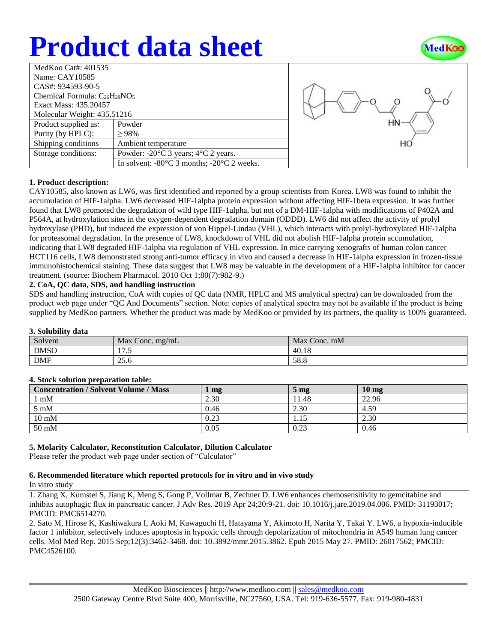# **Product data sheet**



| MedKoo Cat#: $401535$                |                                                                |  |  |  |
|--------------------------------------|----------------------------------------------------------------|--|--|--|
| Name: CAY10585                       |                                                                |  |  |  |
| $CAS#: 934593-90-5$                  |                                                                |  |  |  |
| Chemical Formula: $C_{26}H_{29}NO_5$ |                                                                |  |  |  |
| Exact Mass: 435.20457                |                                                                |  |  |  |
| Molecular Weight: 435.51216          |                                                                |  |  |  |
| Product supplied as:                 | Powder                                                         |  |  |  |
| Purity (by HPLC):                    | $\geq 98\%$                                                    |  |  |  |
| Shipping conditions                  | Ambient temperature                                            |  |  |  |
| Storage conditions:                  | Powder: $-20^{\circ}$ C 3 years; $4^{\circ}$ C 2 years.        |  |  |  |
|                                      | In solvent: $-80^{\circ}$ C 3 months; $-20^{\circ}$ C 2 weeks. |  |  |  |



# **1. Product description:**

CAY10585, also known as LW6, was first identified and reported by a group scientists from Korea. LW8 was found to inhibit the accumulation of HIF-1alpha. LW6 decreased HIF-1alpha protein expression without affecting HIF-1beta expression. It was further found that LW8 promoted the degradation of wild type HIF-1alpha, but not of a DM-HIF-1alpha with modifications of P402A and P564A, at hydroxylation sites in the oxygen-dependent degradation domain (ODDD). LW6 did not affect the activity of prolyl hydroxylase (PHD), but induced the expression of von Hippel-Lindau (VHL), which interacts with prolyl-hydroxylated HIF-1alpha for proteasomal degradation. In the presence of LW8, knockdown of VHL did not abolish HIF-1alpha protein accumulation, indicating that LW8 degraded HIF-1alpha via regulation of VHL expression. In mice carrying xenografts of human colon cancer HCT116 cells, LW8 demonstrated strong anti-tumor efficacy in vivo and caused a decrease in HIF-1alpha expression in frozen-tissue immunohistochemical staining. These data suggest that LW8 may be valuable in the development of a HIF-1alpha inhibitor for cancer treatment. (source: Biochem Pharmacol. 2010 Oct 1;80(7):982-9.)

# **2. CoA, QC data, SDS, and handling instruction**

SDS and handling instruction, CoA with copies of QC data (NMR, HPLC and MS analytical spectra) can be downloaded from the product web page under "QC And Documents" section. Note: copies of analytical spectra may not be available if the product is being supplied by MedKoo partners. Whether the product was made by MedKoo or provided by its partners, the quality is 100% guaranteed.

# **3. Solubility data**

| $\ddot{\mathbf{v}}$ . Dolubliity dutu |                      |              |  |  |  |
|---------------------------------------|----------------------|--------------|--|--|--|
| Solvent                               | Max Conc. $mg/mL$    | Max Conc. mM |  |  |  |
| <b>DMSO</b>                           | $\sqrt{2}$<br>1 I .J | 40.18        |  |  |  |
| <b>DMF</b>                            | 25.6                 | 58.8         |  |  |  |

# **4. Stock solution preparation table:**

| <b>Concentration / Solvent Volume / Mass</b> | mg   | 5 <sub>mg</sub> | 10 <sub>mg</sub> |
|----------------------------------------------|------|-----------------|------------------|
| $1 \text{ mM}$                               | 2.30 | 11.48           | 22.96            |
| $5 \text{ mM}$                               | 0.46 | 2.30            | 4.59             |
| $10 \text{ mM}$                              | 0.23 | 1.15            | 2.30             |
| $50 \text{ mM}$                              | 0.05 | 0.23            | 0.46             |

# **5. Molarity Calculator, Reconstitution Calculator, Dilution Calculator**

Please refer the product web page under section of "Calculator"

#### **6. Recommended literature which reported protocols for in vitro and in vivo study** In vitro study

1. Zhang X, Kumstel S, Jiang K, Meng S, Gong P, Vollmar B, Zechner D. LW6 enhances chemosensitivity to gemcitabine and inhibits autophagic flux in pancreatic cancer. J Adv Res. 2019 Apr 24;20:9-21. doi: 10.1016/j.jare.2019.04.006. PMID: 31193017; PMCID: PMC6514270.

2. Sato M, Hirose K, Kashiwakura I, Aoki M, Kawaguchi H, Hatayama Y, Akimoto H, Narita Y, Takai Y. LW6, a hypoxia-inducible factor 1 inhibitor, selectively induces apoptosis in hypoxic cells through depolarization of mitochondria in A549 human lung cancer cells. Mol Med Rep. 2015 Sep;12(3):3462-3468. doi: 10.3892/mmr.2015.3862. Epub 2015 May 27. PMID: 26017562; PMCID: PMC4526100.